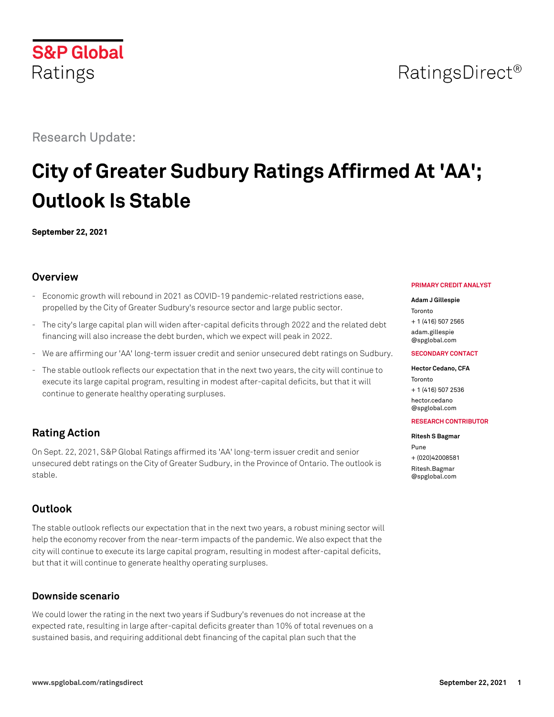# Research Update:

# **City of Greater Sudbury Ratings Affirmed At 'AA'; Outlook Is Stable**

**September 22, 2021**

# **Overview**

- Economic growth will rebound in 2021 as COVID-19 pandemic-related restrictions ease, propelled by the City of Greater Sudbury's resource sector and large public sector.
- The city's large capital plan will widen after-capital deficits through 2022 and the related debt financing will also increase the debt burden, which we expect will peak in 2022.
- We are affirming our 'AA' long-term issuer credit and senior unsecured debt ratings on Sudbury.
- The stable outlook reflects our expectation that in the next two years, the city will continue to execute its large capital program, resulting in modest after-capital deficits, but that it will continue to generate healthy operating surpluses.

# **Rating Action**

On Sept. 22, 2021, S&P Global Ratings affirmed its 'AA' long-term issuer credit and senior unsecured debt ratings on the City of Greater Sudbury, in the Province of Ontario. The outlook is stable.

# **Outlook**

The stable outlook reflects our expectation that in the next two years, a robust mining sector will help the economy recover from the near-term impacts of the pandemic. We also expect that the city will continue to execute its large capital program, resulting in modest after-capital deficits, but that it will continue to generate healthy operating surpluses.

# **Downside scenario**

We could lower the rating in the next two years if Sudbury's revenues do not increase at the expected rate, resulting in large after-capital deficits greater than 10% of total revenues on a sustained basis, and requiring additional debt financing of the capital plan such that the

#### **PRIMARY CREDIT ANALYST**

#### **Adam J Gillespie**

Toronto + 1 (416) 507 2565

[adam.gillespie](mailto:adam.gillespie@spglobal.com) [@spglobal.com](mailto:adam.gillespie@spglobal.com)

#### **SECONDARY CONTACT**

#### **Hector Cedano, CFA**

Toronto + 1 (416) 507 2536 [hector.cedano](mailto:hector.cedano@spglobal.com) [@spglobal.com](mailto:hector.cedano@spglobal.com)

#### **RESEARCH CONTRIBUTOR**

#### **Ritesh S Bagmar**

Pune + (020)42008581 [Ritesh.Bagmar](mailto:Ritesh.Bagmar@spglobal.com) [@spglobal.com](mailto:Ritesh.Bagmar@spglobal.com)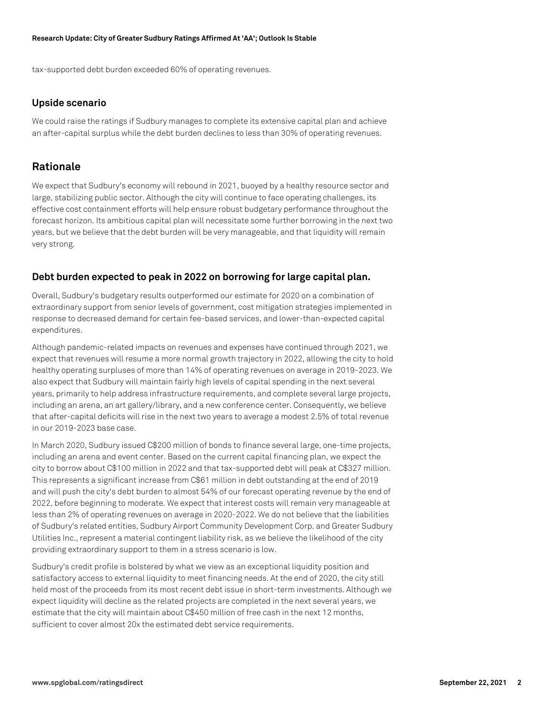#### **Research Update: City of Greater Sudbury Ratings Affirmed At 'AA'; Outlook Is Stable**

tax-supported debt burden exceeded 60% of operating revenues.

#### **Upside scenario**

We could raise the ratings if Sudbury manages to complete its extensive capital plan and achieve an after-capital surplus while the debt burden declines to less than 30% of operating revenues.

## **Rationale**

We expect that Sudbury's economy will rebound in 2021, buoyed by a healthy resource sector and large, stabilizing public sector. Although the city will continue to face operating challenges, its effective cost containment efforts will help ensure robust budgetary performance throughout the forecast horizon. Its ambitious capital plan will necessitate some further borrowing in the next two years, but we believe that the debt burden will be very manageable, and that liquidity will remain very strong.

### **Debt burden expected to peak in 2022 on borrowing for large capital plan.**

Overall, Sudbury's budgetary results outperformed our estimate for 2020 on a combination of extraordinary support from senior levels of government, cost mitigation strategies implemented in response to decreased demand for certain fee-based services, and lower-than-expected capital expenditures.

Although pandemic-related impacts on revenues and expenses have continued through 2021, we expect that revenues will resume a more normal growth trajectory in 2022, allowing the city to hold healthy operating surpluses of more than 14% of operating revenues on average in 2019-2023. We also expect that Sudbury will maintain fairly high levels of capital spending in the next several years, primarily to help address infrastructure requirements, and complete several large projects, including an arena, an art gallery/library, and a new conference center. Consequently, we believe that after-capital deficits will rise in the next two years to average a modest 2.5% of total revenue in our 2019-2023 base case.

In March 2020, Sudbury issued C\$200 million of bonds to finance several large, one-time projects, including an arena and event center. Based on the current capital financing plan, we expect the city to borrow about C\$100 million in 2022 and that tax-supported debt will peak at C\$327 million. This represents a significant increase from C\$61 million in debt outstanding at the end of 2019 and will push the city's debt burden to almost 54% of our forecast operating revenue by the end of 2022, before beginning to moderate. We expect that interest costs will remain very manageable at less than 2% of operating revenues on average in 2020-2022. We do not believe that the liabilities of Sudbury's related entities, Sudbury Airport Community Development Corp. and Greater Sudbury Utilities Inc., represent a material contingent liability risk, as we believe the likelihood of the city providing extraordinary support to them in a stress scenario is low.

Sudbury's credit profile is bolstered by what we view as an exceptional liquidity position and satisfactory access to external liquidity to meet financing needs. At the end of 2020, the city still held most of the proceeds from its most recent debt issue in short-term investments. Although we expect liquidity will decline as the related projects are completed in the next several years, we estimate that the city will maintain about C\$450 million of free cash in the next 12 months, sufficient to cover almost 20x the estimated debt service requirements.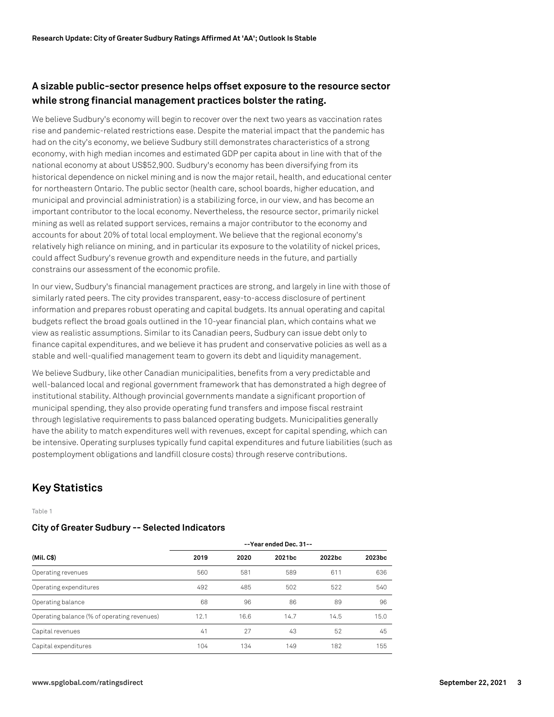# **A sizable public-sector presence helps offset exposure to the resource sector while strong financial management practices bolster the rating.**

We believe Sudbury's economy will begin to recover over the next two years as vaccination rates rise and pandemic-related restrictions ease. Despite the material impact that the pandemic has had on the city's economy, we believe Sudbury still demonstrates characteristics of a strong economy, with high median incomes and estimated GDP per capita about in line with that of the national economy at about US\$52,900. Sudbury's economy has been diversifying from its historical dependence on nickel mining and is now the major retail, health, and educational center for northeastern Ontario. The public sector (health care, school boards, higher education, and municipal and provincial administration) is a stabilizing force, in our view, and has become an important contributor to the local economy. Nevertheless, the resource sector, primarily nickel mining as well as related support services, remains a major contributor to the economy and accounts for about 20% of total local employment. We believe that the regional economy's relatively high reliance on mining, and in particular its exposure to the volatility of nickel prices, could affect Sudbury's revenue growth and expenditure needs in the future, and partially constrains our assessment of the economic profile.

In our view, Sudbury's financial management practices are strong, and largely in line with those of similarly rated peers. The city provides transparent, easy-to-access disclosure of pertinent information and prepares robust operating and capital budgets. Its annual operating and capital budgets reflect the broad goals outlined in the 10-year financial plan, which contains what we view as realistic assumptions. Similar to its Canadian peers, Sudbury can issue debt only to finance capital expenditures, and we believe it has prudent and conservative policies as well as a stable and well-qualified management team to govern its debt and liquidity management.

We believe Sudbury, like other Canadian municipalities, benefits from a very predictable and well-balanced local and regional government framework that has demonstrated a high degree of institutional stability. Although provincial governments mandate a significant proportion of municipal spending, they also provide operating fund transfers and impose fiscal restraint through legislative requirements to pass balanced operating budgets. Municipalities generally have the ability to match expenditures well with revenues, except for capital spending, which can be intensive. Operating surpluses typically fund capital expenditures and future liabilities (such as postemployment obligations and landfill closure costs) through reserve contributions.

# **Key Statistics**

Table 1

# **City of Greater Sudbury -- Selected Indicators**

| (Mil. C\$)                                  | --Year ended Dec. 31-- |      |        |        |        |
|---------------------------------------------|------------------------|------|--------|--------|--------|
|                                             | 2019                   | 2020 | 2021bc | 2022bc | 2023bc |
| Operating revenues                          | 560                    | 581  | 589    | 611    | 636    |
| Operating expenditures                      | 492                    | 485  | 502    | 522    | 540    |
| Operating balance                           | 68                     | 96   | 86     | 89     | 96     |
| Operating balance (% of operating revenues) | 12.1                   | 16.6 | 14.7   | 14.5   | 15.0   |
| Capital revenues                            | 41                     | 27   | 43     | 52     | 45     |
| Capital expenditures                        | 104                    | 134  | 149    | 182    | 155    |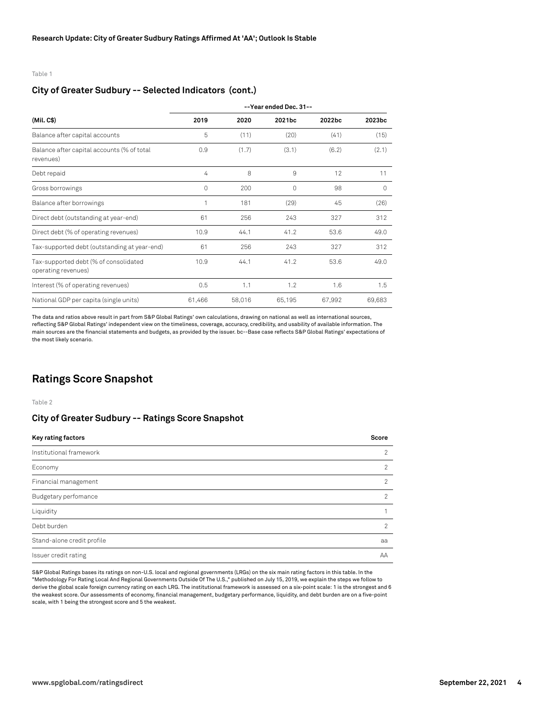Table 1

#### **City of Greater Sudbury -- Selected Indicators (cont.)**

| (Mil. C\$)                                                   | --Year ended Dec. 31-- |        |        |        |                    |
|--------------------------------------------------------------|------------------------|--------|--------|--------|--------------------|
|                                                              | 2019                   | 2020   | 2021bc | 2022bc | 2023 <sub>bc</sub> |
| Balance after capital accounts                               | 5                      | (11)   | (20)   | (41)   | (15)               |
| Balance after capital accounts (% of total<br>revenues)      | 0.9                    | (1.7)  | (3.1)  | (6.2)  | (2.1)              |
| Debt repaid                                                  | 4                      | 8      | 9      | 12     | 11                 |
| Gross borrowings                                             | 0                      | 200    | 0      | 98     | 0                  |
| Balance after borrowings                                     | 1                      | 181    | (29)   | 45     | (26)               |
| Direct debt (outstanding at year-end)                        | 61                     | 256    | 243    | 327    | 312                |
| Direct debt (% of operating revenues)                        | 10.9                   | 44.1   | 41.2   | 53.6   | 49.0               |
| Tax-supported debt (outstanding at year-end)                 | 61                     | 256    | 243    | 327    | 312                |
| Tax-supported debt (% of consolidated<br>operating revenues) | 10.9                   | 44.1   | 41.2   | 53.6   | 49.0               |
| Interest (% of operating revenues)                           | 0.5                    | 1.1    | 1.2    | 1.6    | 1.5                |
| National GDP per capita (single units)                       | 61,466                 | 58,016 | 65,195 | 67,992 | 69,683             |

The data and ratios above result in part from S&P Global Ratings' own calculations, drawing on national as well as international sources, reflecting S&P Global Ratings' independent view on the timeliness, coverage, accuracy, credibility, and usability of available information. The main sources are the financial statements and budgets, as provided by the issuer. bc--Base case reflects S&P Global Ratings' expectations of the most likely scenario.

# **Ratings Score Snapshot**

Table 2

#### **City of Greater Sudbury -- Ratings Score Snapshot**

| Key rating factors         | Score          |
|----------------------------|----------------|
| Institutional framework    | $\mathcal{P}$  |
| Economy                    | $\mathcal{P}$  |
| Financial management       | $\mathcal{P}$  |
| Budgetary perfomance       | $\mathfrak{D}$ |
| Liquidity                  |                |
| Debt burden                | $\mathfrak{D}$ |
| Stand-alone credit profile | aa             |
| Issuer credit rating       | AA             |

S&P Global Ratings bases its ratings on non-U.S. local and regional governments (LRGs) on the six main rating factors in this table. In the "Methodology For Rating Local And Regional Governments Outside Of The U.S.," published on July 15, 2019, we explain the steps we follow to derive the global scale foreign currency rating on each LRG. The institutional framework is assessed on a six-point scale: 1 is the strongest and 6 the weakest score. Our assessments of economy, financial management, budgetary performance, liquidity, and debt burden are on a five-point scale, with 1 being the strongest score and 5 the weakest.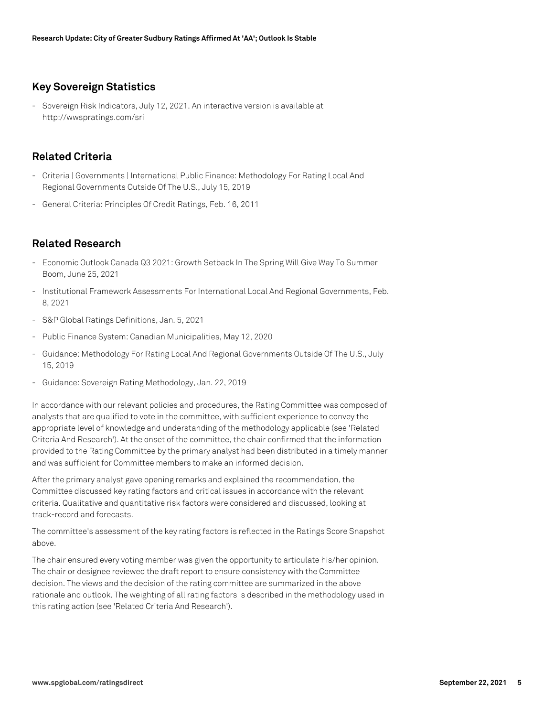# **Key Sovereign Statistics**

- Sovereign Risk Indicators, July 12, 2021. An interactive version is available at http://wwspratings.com/sri

# **Related Criteria**

- Criteria | Governments | International Public Finance: Methodology For Rating Local And Regional Governments Outside Of The U.S., July 15, 2019
- General Criteria: Principles Of Credit Ratings, Feb. 16, 2011

# **Related Research**

- Economic Outlook Canada Q3 2021: Growth Setback In The Spring Will Give Way To Summer Boom, June 25, 2021
- Institutional Framework Assessments For International Local And Regional Governments, Feb. 8, 2021
- S&P Global Ratings Definitions, Jan. 5, 2021
- Public Finance System: Canadian Municipalities, May 12, 2020
- Guidance: Methodology For Rating Local And Regional Governments Outside Of The U.S., July 15, 2019
- Guidance: Sovereign Rating Methodology, Jan. 22, 2019

In accordance with our relevant policies and procedures, the Rating Committee was composed of analysts that are qualified to vote in the committee, with sufficient experience to convey the appropriate level of knowledge and understanding of the methodology applicable (see 'Related Criteria And Research'). At the onset of the committee, the chair confirmed that the information provided to the Rating Committee by the primary analyst had been distributed in a timely manner and was sufficient for Committee members to make an informed decision.

After the primary analyst gave opening remarks and explained the recommendation, the Committee discussed key rating factors and critical issues in accordance with the relevant criteria. Qualitative and quantitative risk factors were considered and discussed, looking at track-record and forecasts.

The committee's assessment of the key rating factors is reflected in the Ratings Score Snapshot above.

The chair ensured every voting member was given the opportunity to articulate his/her opinion. The chair or designee reviewed the draft report to ensure consistency with the Committee decision. The views and the decision of the rating committee are summarized in the above rationale and outlook. The weighting of all rating factors is described in the methodology used in this rating action (see 'Related Criteria And Research').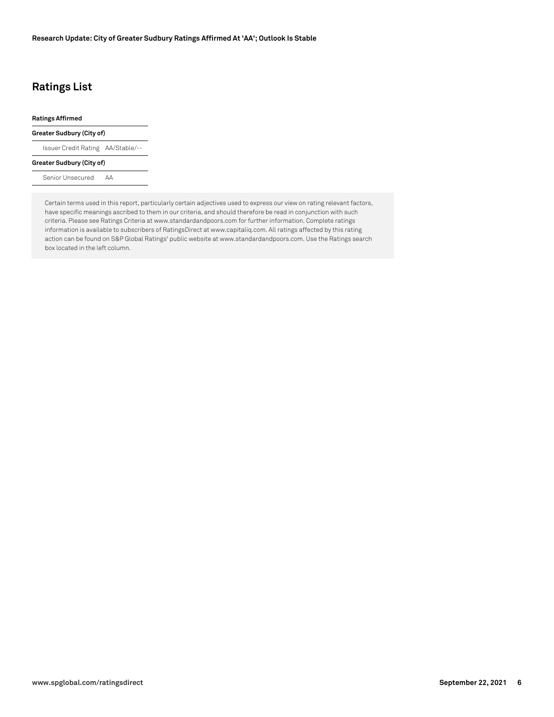# **Ratings List**

#### **Ratings Affirmed**

#### **Greater Sudbury (City of)**

Issuer Credit Rating AA/Stable/--

#### **Greater Sudbury (City of)**

Senior Unsecured AA

Certain terms used in this report, particularly certain adjectives used to express our view on rating relevant factors, have specific meanings ascribed to them in our criteria, and should therefore be read in conjunction with such criteria. Please see Ratings Criteria at www.standardandpoors.com for further information. Complete ratings information is available to subscribers of RatingsDirect at www.capitaliq.com. All ratings affected by this rating action can be found on S&P Global Ratings' public website at www.standardandpoors.com. Use the Ratings search box located in the left column.